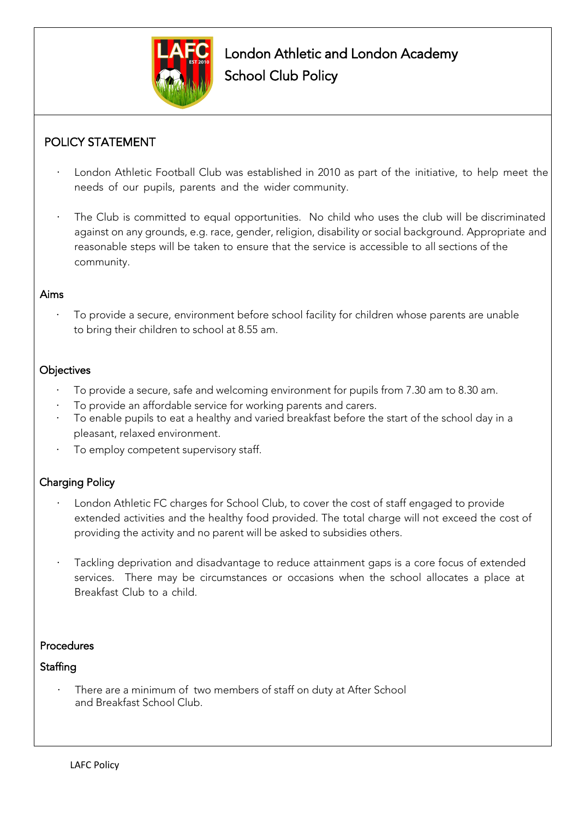

# POLICY STATEMENT

- London Athletic Football Club was established in 2010 as part of the initiative, to help meet the needs of our pupils, parents and the wider community.
- The Club is committed to equal opportunities. No child who uses the club will be discriminated against on any grounds, e.g. race, gender, religion, disability or social background. Appropriate and reasonable steps will be taken to ensure that the service is accessible to all sections of the community.

### Aims

To provide a secure, environment before school facility for children whose parents are unable to bring their children to school at 8.55 am.

### **Objectives**

- · To provide a secure, safe and welcoming environment for pupils from 7.30 am to 8.30 am.
- To provide an affordable service for working parents and carers.
- To enable pupils to eat a healthy and varied breakfast before the start of the school day in a pleasant, relaxed environment.
- To employ competent supervisory staff.

# Charging Policy

- London Athletic FC charges for School Club, to cover the cost of staff engaged to provide extended activities and the healthy food provided. The total charge will not exceed the cost of providing the activity and no parent will be asked to subsidies others.
- Tackling deprivation and disadvantage to reduce attainment gaps is a core focus of extended services. There may be circumstances or occasions when the school allocates a place at Breakfast Club to a child.

# Procedures

# **Staffing**

There are a minimum of two members of staff on duty at After School and Breakfast School Club.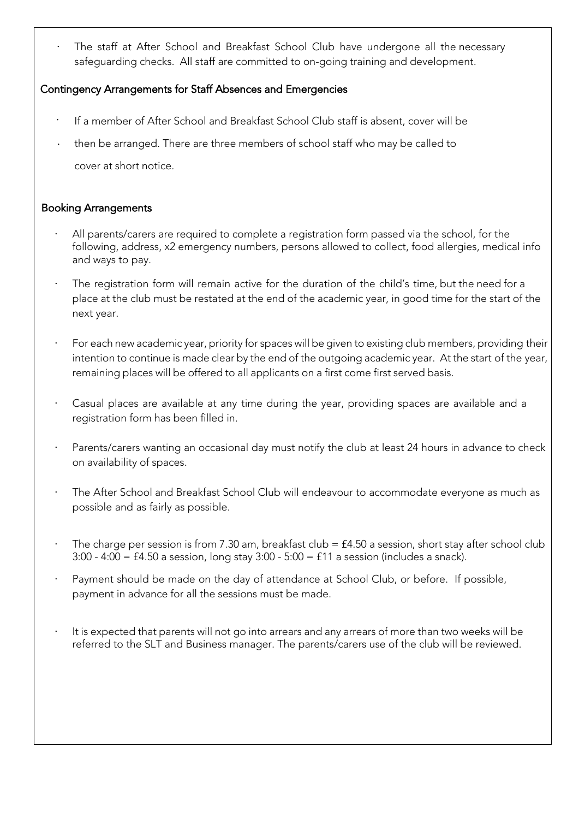The staff at After School and Breakfast School Club have undergone all the necessary safeguarding checks. All staff are committed to on-going training and development.

### Contingency Arrangements for Staff Absences and Emergencies

- · If a member of After School and Breakfast School Club staff is absent, cover will be
- · then be arranged. There are three members of school staff who may be called to cover at short notice.

### Booking Arrangements

- All parents/carers are required to complete a registration form passed via the school, for the following, address, x2 emergency numbers, persons allowed to collect, food allergies, medical info and ways to pay.
- The registration form will remain active for the duration of the child's time, but the need for a place at the club must be restated at the end of the academic year, in good time for the start of the next year.
- For each new academic year, priority for spaces will be given to existing club members, providing their intention to continue is made clear by the end of the outgoing academic year. At the start of the year, remaining places will be offered to all applicants on a first come first served basis.
- Casual places are available at any time during the year, providing spaces are available and a registration form has been filled in.
- Parents/carers wanting an occasional day must notify the club at least 24 hours in advance to check on availability of spaces.
- The After School and Breakfast School Club will endeavour to accommodate everyone as much as possible and as fairly as possible.
- The charge per session is from 7.30 am, breakfast club =  $£4.50$  a session, short stay after school club 3:00 - 4:00 = £4.50 a session, long stay 3:00 - 5:00 = £11 a session (includes a snack).
- Payment should be made on the day of attendance at School Club, or before. If possible, payment in advance for all the sessions must be made.
- It is expected that parents will not go into arrears and any arrears of more than two weeks will be referred to the SLT and Business manager. The parents/carers use of the club will be reviewed.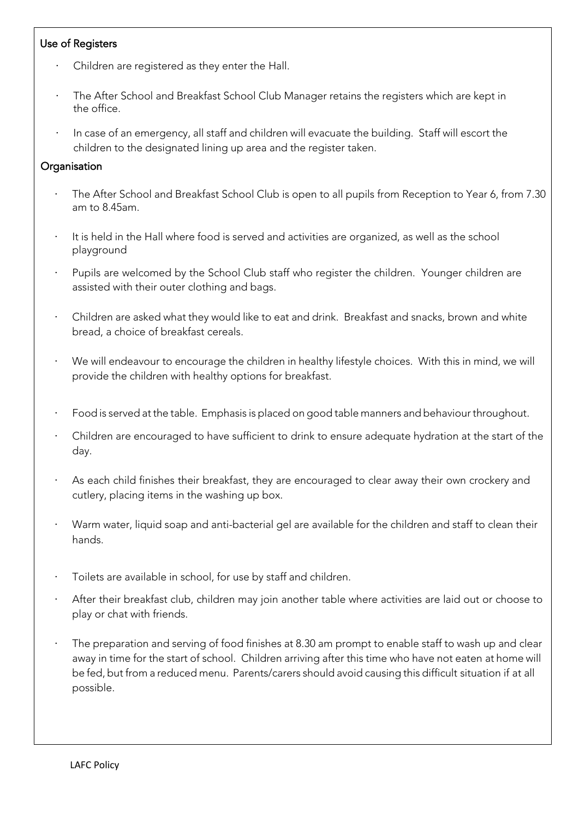# Use of Registers

- Children are registered as they enter the Hall.
- The After School and Breakfast School Club Manager retains the registers which are kept in the office.
- · In case of an emergency, all staff and children will evacuate the building. Staff will escort the children to the designated lining up area and the register taken.

### **Organisation**

- The After School and Breakfast School Club is open to all pupils from Reception to Year 6, from 7.30 am to 8.45am.
- It is held in the Hall where food is served and activities are organized, as well as the school playground
- Pupils are welcomed by the School Club staff who register the children. Younger children are assisted with their outer clothing and bags.
- · Children are asked what they would like to eat and drink. Breakfast and snacks, brown and white bread, a choice of breakfast cereals.
- We will endeavour to encourage the children in healthy lifestyle choices. With this in mind, we will provide the children with healthy options for breakfast.
- · Food is served at the table. Emphasis is placed on good table manners and behaviour throughout.
- Children are encouraged to have sufficient to drink to ensure adequate hydration at the start of the day.
- As each child finishes their breakfast, they are encouraged to clear away their own crockery and cutlery, placing items in the washing up box.
- · Warm water, liquid soap and anti-bacterial gel are available for the children and staff to clean their hands.
- Toilets are available in school, for use by staff and children.
- After their breakfast club, children may join another table where activities are laid out or choose to play or chat with friends.
- The preparation and serving of food finishes at 8.30 am prompt to enable staff to wash up and clear away in time for the start of school. Children arriving after this time who have not eaten at home will be fed, but from a reduced menu. Parents/carers should avoid causing this difficult situation if at all possible.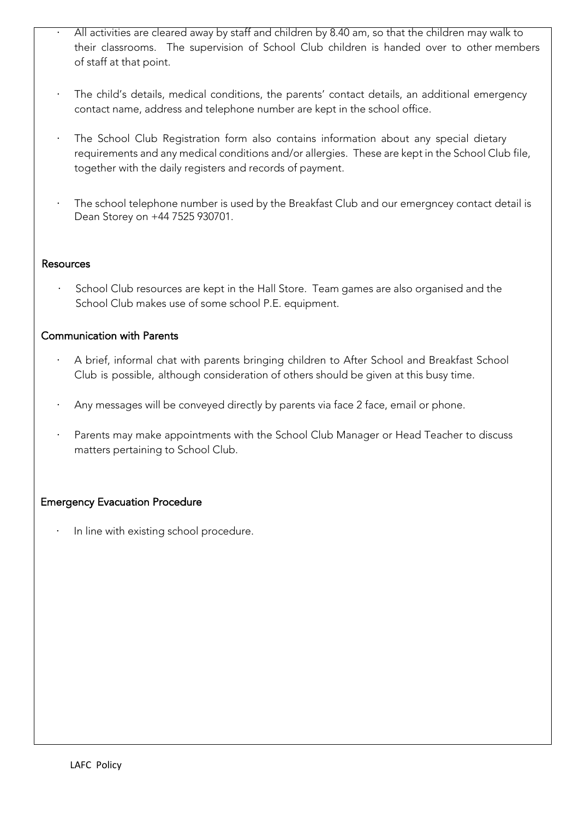- All activities are cleared away by staff and children by 8.40 am, so that the children may walk to their classrooms. The supervision of School Club children is handed over to other members of staff at that point.
- · The child's details, medical conditions, the parents' contact details, an additional emergency contact name, address and telephone number are kept in the school office.
- · The School Club Registration form also contains information about any special dietary requirements and any medical conditions and/or allergies. These are kept in the School Club file, together with the daily registers and records of payment.
- · The school telephone number is used by the Breakfast Club and our emergncey contact detail is Dean Storey on +44 7525 930701.

#### Resources

School Club resources are kept in the Hall Store. Team games are also organised and the School Club makes use of some school P.E. equipment.

### Communication with Parents

- · A brief, informal chat with parents bringing children to After School and Breakfast School Club is possible, although consideration of others should be given at this busy time.
- Any messages will be conveyed directly by parents via face 2 face, email or phone.
- Parents may make appointments with the School Club Manager or Head Teacher to discuss matters pertaining to School Club.

### Emergency Evacuation Procedure

· In line with existing school procedure.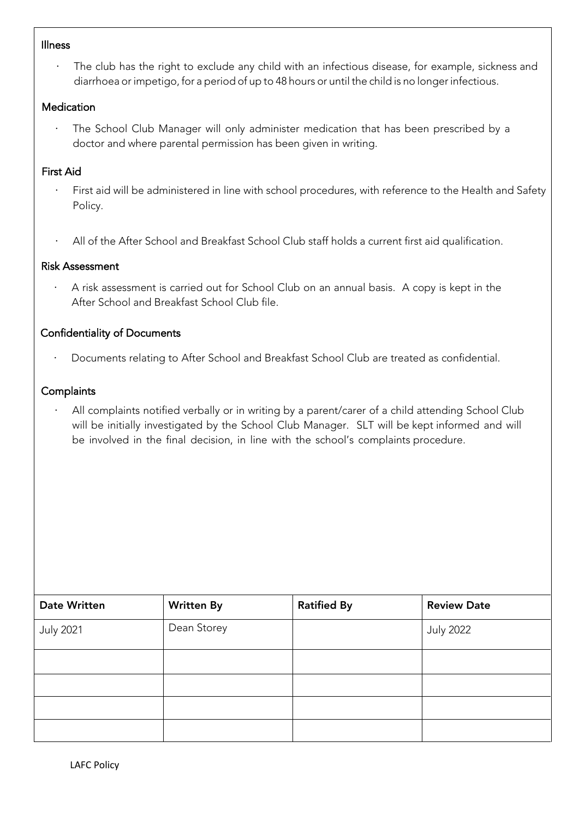#### Illness

· The club has the right to exclude any child with an infectious disease, for example, sickness and diarrhoea or impetigo, for a period of up to 48 hours or until the child is no longer infectious.

### Medication

The School Club Manager will only administer medication that has been prescribed by a doctor and where parental permission has been given in writing.

### First Aid

- · First aid will be administered in line with school procedures, with reference to the Health and Safety Policy.
- All of the After School and Breakfast School Club staff holds a current first aid qualification.

### Risk Assessment

A risk assessment is carried out for School Club on an annual basis. A copy is kept in the After School and Breakfast School Club file.

### Confidentiality of Documents

· Documents relating to After School and Breakfast School Club are treated as confidential.

### **Complaints**

All complaints notified verbally or in writing by a parent/carer of a child attending School Club will be initially investigated by the School Club Manager. SLT will be kept informed and will be involved in the final decision, in line with the school's complaints procedure.

| <b>Date Written</b> | <b>Written By</b> | <b>Ratified By</b> | <b>Review Date</b> |
|---------------------|-------------------|--------------------|--------------------|
| <b>July 2021</b>    | Dean Storey       |                    | <b>July 2022</b>   |
|                     |                   |                    |                    |
|                     |                   |                    |                    |
|                     |                   |                    |                    |
|                     |                   |                    |                    |